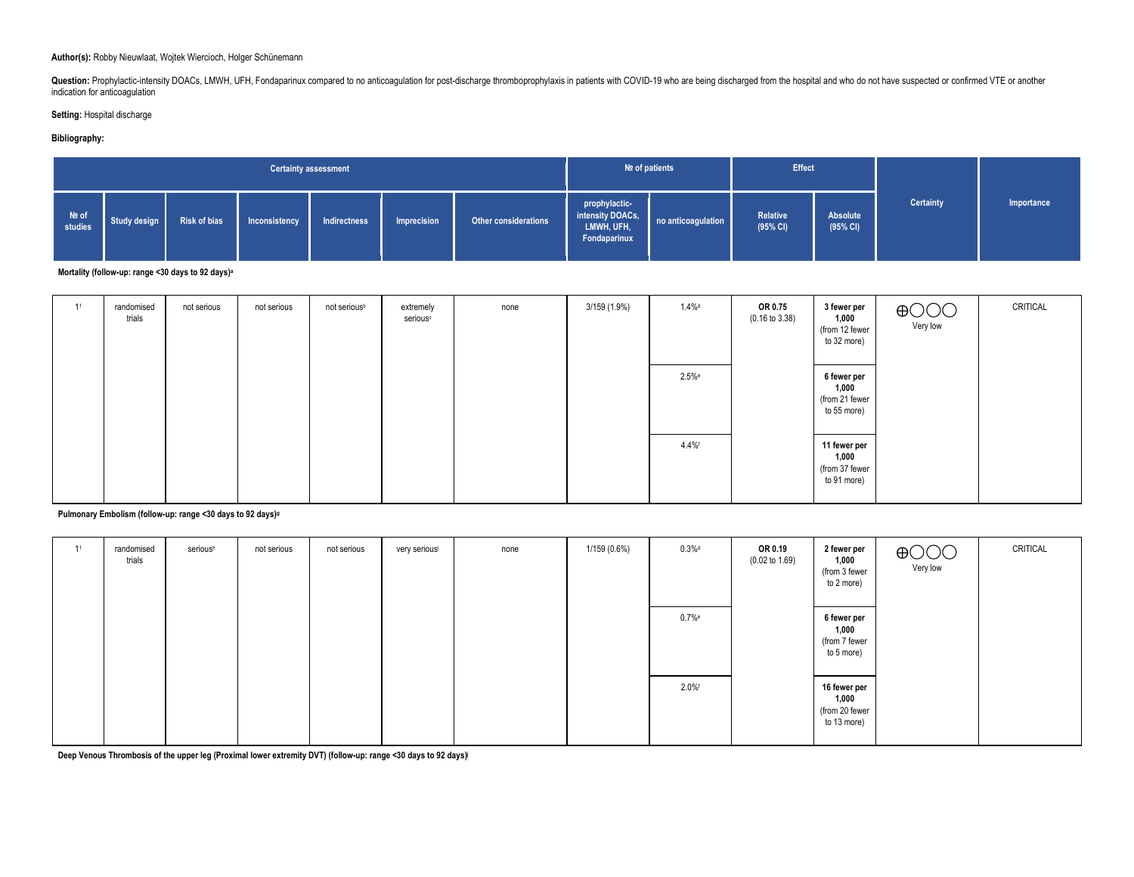#### **Author(s):** Robby Nieuwlaat, Wojtek Wiercioch, Holger Schünemann

Question: Prophylactic-intensity DOACs, LMWH, UFH, Fondaparinux compared to no anticoagulation for post-discharge thromboprophylaxis in patients with COVID-19 who are being discharged from the hospital and who do not have indication for anticoagulation

#### **Setting:** Hospital discharge

### **Bibliography:**

| <b>Certainty assessment</b> |              |                     |               |              |             |                             |                                                                 | Nº of patients     | <b>Effect</b>        |                      |           |            |
|-----------------------------|--------------|---------------------|---------------|--------------|-------------|-----------------------------|-----------------------------------------------------------------|--------------------|----------------------|----------------------|-----------|------------|
| Nº of<br>studies            | Study design | <b>Risk of bias</b> | Inconsistency | Indirectness | Imprecision | <b>Other considerations</b> | prophylactic-<br>intensity DOACs,<br>LMWH, UFH,<br>Fondaparinux | no anticoagulation | Relative<br>(95% CI) | Absolute<br>(95% CI) | Certainty | Importance |

**Mortality (follow-up: range <30 days to 92 days)a**

| 41 | randomised<br>trials | not serious | not serious | not serious <sup>b</sup> | extremely<br>serious <sup>c</sup> | none | 3/159 (1.9%) | $1.4\%$ <sup>d</sup> | OR 0.75<br>$(0.16 \text{ to } 3.38)$ | 3 fewer per<br>1,000<br>(from 12 fewer<br>to 32 more)  | $\bigoplus$ OOO<br>Very low | CRITICAL |
|----|----------------------|-------------|-------------|--------------------------|-----------------------------------|------|--------------|----------------------|--------------------------------------|--------------------------------------------------------|-----------------------------|----------|
|    |                      |             |             |                          |                                   |      |              | $2.5%$ e             |                                      | 6 fewer per<br>1,000<br>(from 21 fewer<br>to 55 more)  |                             |          |
|    |                      |             |             |                          |                                   |      |              | 4.4%                 |                                      | 11 fewer per<br>1,000<br>(from 37 fewer<br>to 91 more) |                             |          |

#### **Pulmonary Embolism (follow-up: range <30 days to 92 days)g**

| 11 | randomised<br>trials | serioush | not serious | not serious | very seriousi | none | 1/159 (0.6%) | $0.3\%$ d | OR 0.19<br>$(0.02 \text{ to } 1.69)$ | 2 fewer per<br>1,000<br>(from 3 fewer<br>to 2 more)    | $\bigoplus$ OOO<br>Very low | CRITICAL |
|----|----------------------|----------|-------------|-------------|---------------|------|--------------|-----------|--------------------------------------|--------------------------------------------------------|-----------------------------|----------|
|    |                      |          |             |             |               |      |              | $0.7\%$ e |                                      | 6 fewer per<br>1,000<br>(from 7 fewer<br>to 5 more)    |                             |          |
|    |                      |          |             |             |               |      |              | 2.0%      |                                      | 16 fewer per<br>1,000<br>(from 20 fewer<br>to 13 more) |                             |          |

**Deep Venous Thrombosis of the upper leg (Proximal lower extremity DVT) (follow-up: range <30 days to 92 days)j**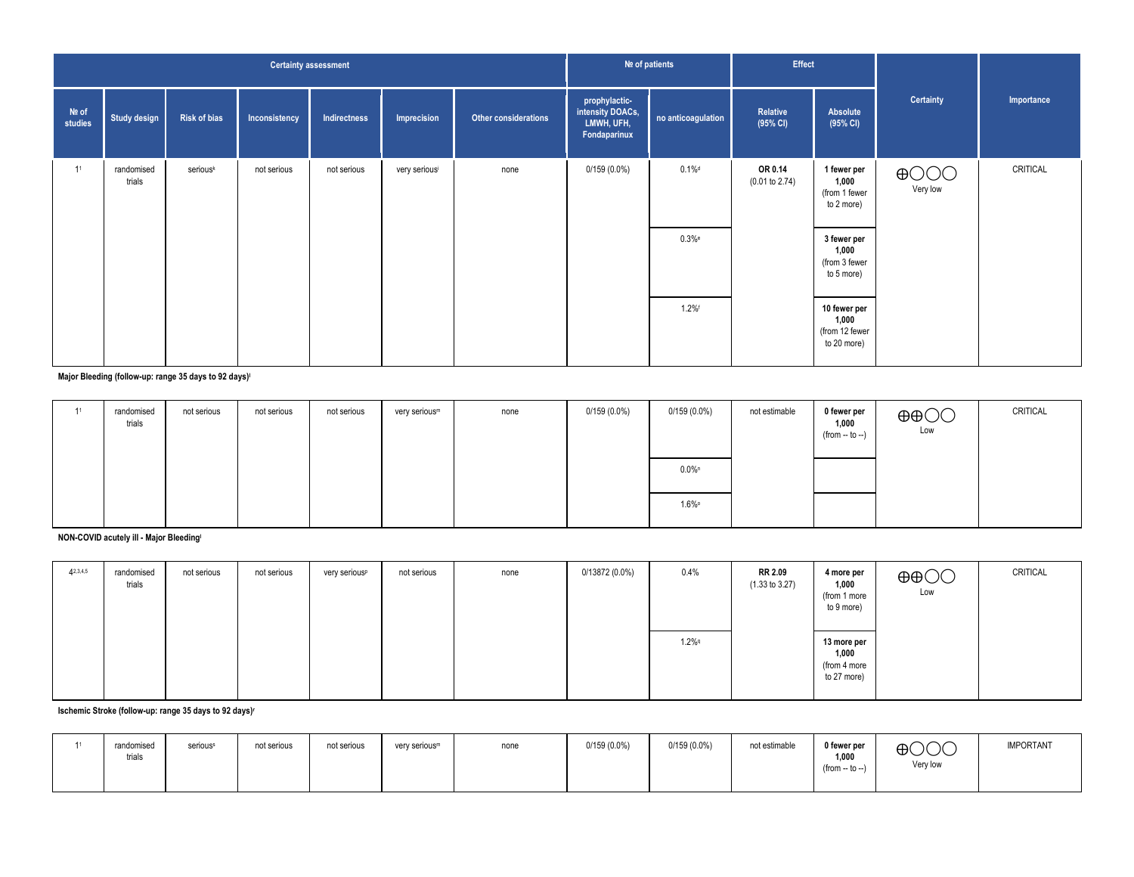|                    | <b>Certainty assessment</b> |                     |               |              |               |                      |                                                                 | Nº of patients        | Effect                    |                                                                    |                             |            |
|--------------------|-----------------------------|---------------------|---------------|--------------|---------------|----------------------|-----------------------------------------------------------------|-----------------------|---------------------------|--------------------------------------------------------------------|-----------------------------|------------|
| $Ne$ of<br>studies | <b>Study design</b>         | <b>Risk of bias</b> | Inconsistency | Indirectness | Imprecision   | Other considerations | prophylactic-<br>intensity DOACs,<br>LMWH, UFH,<br>Fondaparinux | no anticoagulation    | Relative<br>(95% CI)      | Absolute<br>(95% CI)                                               | Certainty                   | Importance |
| 11                 | randomised<br>trials        | seriousk            | not serious   | not serious  | very seriousi | none                 | $0/159(0.0\%)$                                                  | $0.1\%$ d<br>$0.3%$ e | OR 0.14<br>(0.01 to 2.74) | 1 fewer per<br>1,000<br>(from 1 fewer<br>to 2 more)<br>3 fewer per | $\bigoplus$ OOO<br>Very low | CRITICAL   |
|                    |                             |                     |               |              |               |                      |                                                                 |                       |                           | 1,000<br>(from 3 fewer<br>to 5 more)                               |                             |            |
|                    |                             |                     |               |              |               |                      |                                                                 | $1.2\%$ f             |                           | 10 fewer per<br>1,000<br>(from 12 fewer<br>to 20 more)             |                             |            |

**Major Bleeding (follow-up: range 35 days to 92 days)l**

| randomised<br>trials | not serious | not serious | not serious | very serious <sup>m</sup> | none | $0/159(0.0\%)$ | $0/159(0.0\%)$       | not estimable | 0 fewer per<br>1,000<br>$(from - to -)$ | $\oplus$ $\oplus$<br>Low | CRITICAL |
|----------------------|-------------|-------------|-------------|---------------------------|------|----------------|----------------------|---------------|-----------------------------------------|--------------------------|----------|
|                      |             |             |             |                           |      |                | $0.0\%$ <sup>n</sup> |               |                                         |                          |          |
|                      |             |             |             |                           |      |                | $1.6\%$ °            |               |                                         |                          |          |

**NON-COVID acutely ill - Major Bleedingl**

| 42,3,4,5 | randomised<br>trials | not serious | not serious | very serious <sup>p</sup> | not serious | none | $0/13872(0.0\%)$ | 0.4%    | RR 2.09<br>$(1.33 \text{ to } 3.27)$ | 4 more per<br>1,000<br>(from 1 more<br>to 9 more)   | $\oplus$ $\oplus$<br>Low | CRITICAL |
|----------|----------------------|-------------|-------------|---------------------------|-------------|------|------------------|---------|--------------------------------------|-----------------------------------------------------|--------------------------|----------|
|          |                      |             |             |                           |             |      |                  | $1.2\%$ |                                      | 13 more per<br>1,000<br>(from 4 more<br>to 27 more) |                          |          |

**Ischemic Stroke (follow-up: range 35 days to 92 days)r**

| 4.4 | randomised<br>.<br>trials | seriouss | not serious | not serious | very serious <sup>m</sup> | none | $0/159(0.0\%)$ | $0/159(0.0\%)$ | not estimable | 0 fewer per<br>1,000<br>(from -- to --) | $\bigoplus$ OOO<br>Very low | <b>IMPORTANT</b> |
|-----|---------------------------|----------|-------------|-------------|---------------------------|------|----------------|----------------|---------------|-----------------------------------------|-----------------------------|------------------|
|     |                           |          |             |             |                           |      |                |                |               |                                         |                             |                  |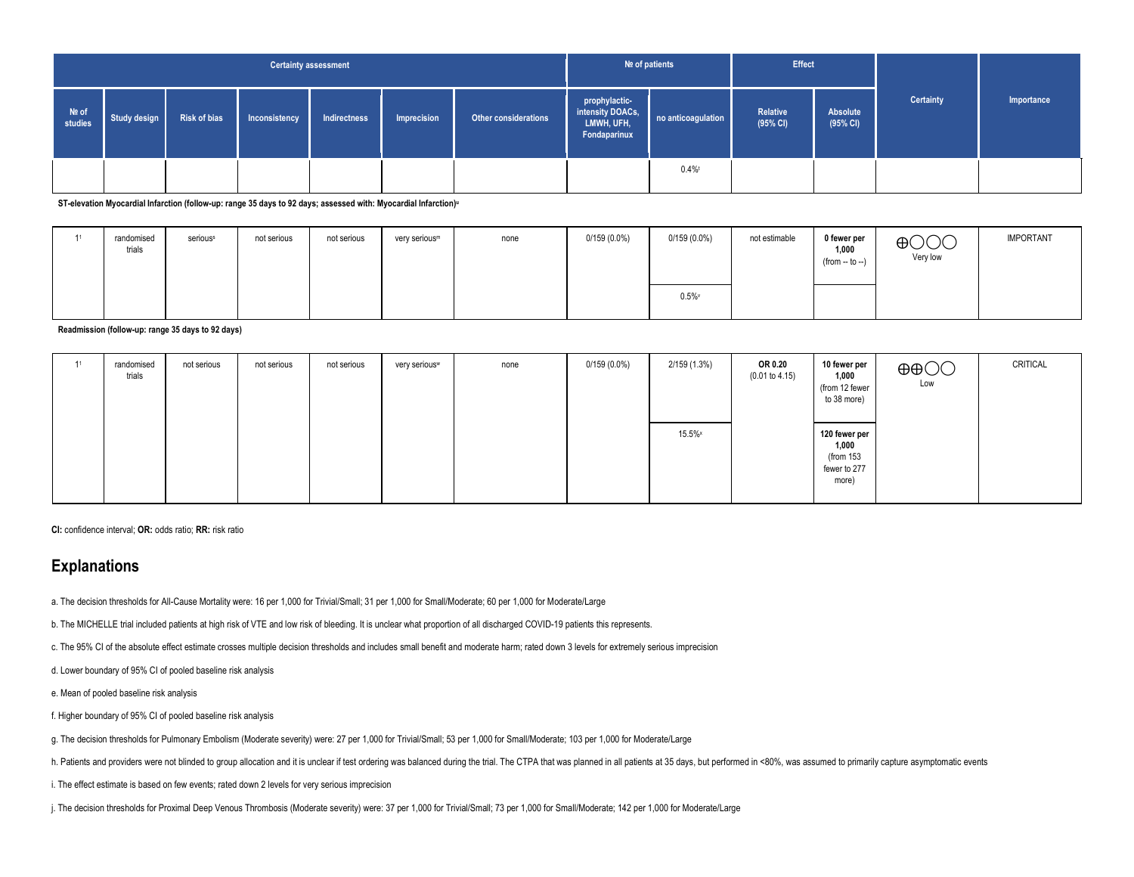|                  |              |                                                                                             | <b>Certainty assessment</b> |  |  |  | Nº of patients                                                  |                    | <b>Effect</b>        |                      |           |            |
|------------------|--------------|---------------------------------------------------------------------------------------------|-----------------------------|--|--|--|-----------------------------------------------------------------|--------------------|----------------------|----------------------|-----------|------------|
| Nº of<br>studies | Study design | Other considerations<br><b>Risk of bias</b><br>Indirectness<br>Imprecision<br>Inconsistency |                             |  |  |  | prophylactic-<br>intensity DOACs,<br>LMWH, UFH,<br>Fondaparinux | no anticoagulation | Relative<br>(95% CI) | Absolute<br>(95% CI) | Certainty | Importance |
|                  |              |                                                                                             |                             |  |  |  | 0.4%                                                            |                    |                      |                      |           |            |

**ST-elevation Myocardial Infarction (follow-up: range 35 days to 92 days; assessed with: Myocardial Infarction)<sup>u</sup>**

| randomised<br>trials | seriouss | not serious | not serious | very serious <sup>m</sup> | none | $0/159(0.0\%)$ | $0/159(0.0\%)$ | not estimable | 0 fewer per<br>1,000<br>$(from - to -)$ | $\bigoplus$ $\bigodot$ $\bigodot$<br>Very low | <b>IMPORTANT</b> |
|----------------------|----------|-------------|-------------|---------------------------|------|----------------|----------------|---------------|-----------------------------------------|-----------------------------------------------|------------------|
|                      |          |             |             |                           |      |                | 0.5%           |               |                                         |                                               |                  |

**Readmission (follow-up: range 35 days to 92 days)**

| randomised<br>trials | not serious | not serious | not serious | very serious <sup>w</sup> | none | $0/159(0.0\%)$ | 2/159 (1.3%) | OR 0.20<br>(0.01 to 4.15) | 10 fewer per<br>1,000<br>(from 12 fewer<br>to 38 more)       | $\oplus$ $\oplus$<br>Low | CRITICAL |
|----------------------|-------------|-------------|-------------|---------------------------|------|----------------|--------------|---------------------------|--------------------------------------------------------------|--------------------------|----------|
|                      |             |             |             |                           |      |                | $15.5\%$     |                           | 120 fewer per<br>1,000<br>(from 153<br>fewer to 277<br>more) |                          |          |

**CI:** confidence interval; **OR:** odds ratio; **RR:** risk ratio

# **Explanations**

a. The decision thresholds for All-Cause Mortality were: 16 per 1,000 for Trivial/Small; 31 per 1,000 for Small/Moderate; 60 per 1,000 for Moderate/Large

b. The MICHELLE trial included patients at high risk of VTE and low risk of bleeding. It is unclear what proportion of all discharged COVID-19 patients this represents.

c. The 95% CI of the absolute effect estimate crosses multiple decision thresholds and includes small benefit and moderate harm; rated down 3 levels for extremely serious imprecision

d. Lower boundary of 95% CI of pooled baseline risk analysis

e. Mean of pooled baseline risk analysis

f. Higher boundary of 95% CI of pooled baseline risk analysis

g. The decision thresholds for Pulmonary Embolism (Moderate severity) were: 27 per 1,000 for Trivial/Small; 53 per 1,000 for Small/Moderate; 103 per 1,000 for Moderate/Large

h. Patients and providers were not blinded to group allocation and it is unclear if test ordering was balanced during the trial. The CTPA that was planned in all patients at 35 days, but performed in <80%, was assumed to p

i. The effect estimate is based on few events; rated down 2 levels for very serious imprecision

j. The decision thresholds for Proximal Deep Venous Thrombosis (Moderate severity) were: 37 per 1,000 for Trivial/Small; 73 per 1,000 for Small/Moderate; 142 per 1,000 for Moderate/Large